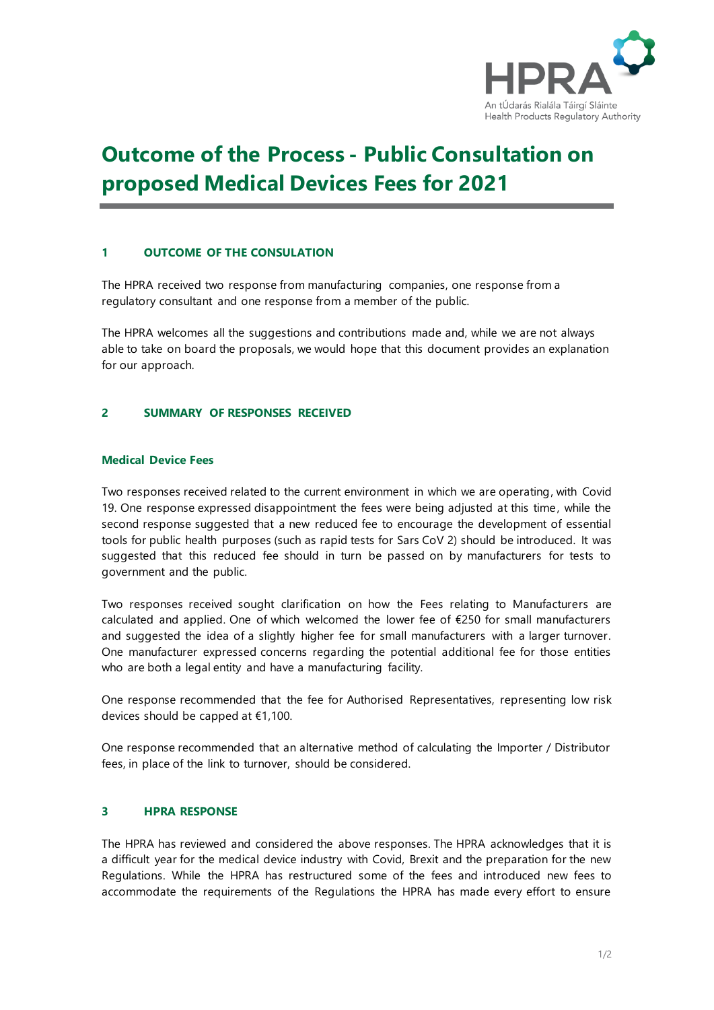

# **Outcome of the Process - Public Consultation on proposed Medical Devices Fees for 2021**

# **1 OUTCOME OF THE CONSULATION**

The HPRA received two response from manufacturing companies, one response from a regulatory consultant and one response from a member of the public.

The HPRA welcomes all the suggestions and contributions made and, while we are not always able to take on board the proposals, we would hope that this document provides an explanation for our approach.

# **2 SUMMARY OF RESPONSES RECEIVED**

### **Medical Device Fees**

Two responses received related to the current environment in which we are operating, with Covid 19. One response expressed disappointment the fees were being adjusted at this time, while the second response suggested that a new reduced fee to encourage the development of essential tools for public health purposes (such as rapid tests for Sars CoV 2) should be introduced. It was suggested that this reduced fee should in turn be passed on by manufacturers for tests to government and the public.

Two responses received sought clarification on how the Fees relating to Manufacturers are calculated and applied. One of which welcomed the lower fee of €250 for small manufacturers and suggested the idea of a slightly higher fee for small manufacturers with a larger turnover. One manufacturer expressed concerns regarding the potential additional fee for those entities who are both a legal entity and have a manufacturing facility.

One response recommended that the fee for Authorised Representatives, representing low risk devices should be capped at €1,100.

One response recommended that an alternative method of calculating the Importer / Distributor fees, in place of the link to turnover, should be considered.

#### **3 HPRA RESPONSE**

The HPRA has reviewed and considered the above responses. The HPRA acknowledges that it is a difficult year for the medical device industry with Covid, Brexit and the preparation for the new Regulations. While the HPRA has restructured some of the fees and introduced new fees to accommodate the requirements of the Regulations the HPRA has made every effort to ensure